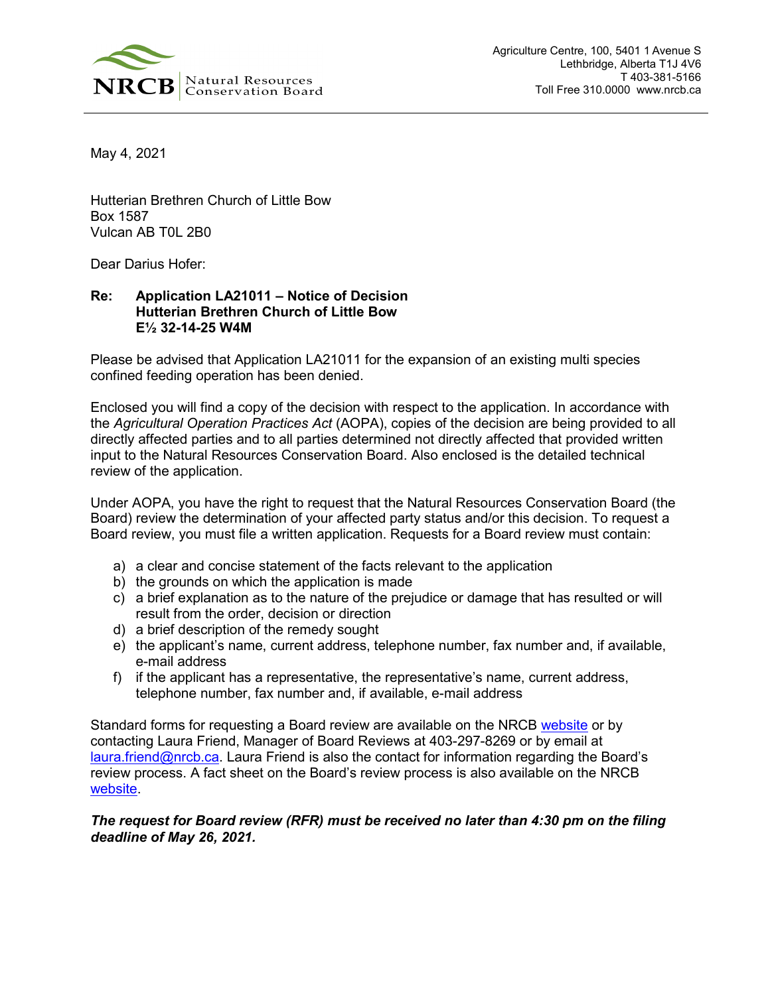

May 4, 2021

Hutterian Brethren Church of Little Bow Box 1587 Vulcan AB T0L 2B0

Dear Darius Hofer:

## **Re: Application LA21011 – Notice of Decision Hutterian Brethren Church of Little Bow E½ 32-14-25 W4M**

Please be advised that Application LA21011 for the expansion of an existing multi species confined feeding operation has been denied.

Enclosed you will find a copy of the decision with respect to the application. In accordance with the *Agricultural Operation Practices Act* (AOPA), copies of the decision are being provided to all directly affected parties and to all parties determined not directly affected that provided written input to the Natural Resources Conservation Board. Also enclosed is the detailed technical review of the application.

Under AOPA, you have the right to request that the Natural Resources Conservation Board (the Board) review the determination of your affected party status and/or this decision. To request a Board review, you must file a written application. Requests for a Board review must contain:

- a) a clear and concise statement of the facts relevant to the application
- b) the grounds on which the application is made
- c) a brief explanation as to the nature of the prejudice or damage that has resulted or will result from the order, decision or direction
- d) a brief description of the remedy sought
- e) the applicant's name, current address, telephone number, fax number and, if available, e-mail address
- f) if the applicant has a representative, the representative's name, current address, telephone number, fax number and, if available, e-mail address

Standard forms for requesting a Board review are available on the NRCB [website](https://www.nrcb.ca/confined-feeding-operations/board-reviews-court-decisions-revamp/fact-sheets-and-forms) or by contacting Laura Friend, Manager of Board Reviews at 403-297-8269 or by email at [laura.friend@nrcb.ca.](mailto:laura.friend@nrcb.ca) Laura Friend is also the contact for information regarding the Board's review process. A fact sheet on the Board's review process is also available on the NRCB [website.](https://www.nrcb.ca/public/download/files/97583)

## *The request for Board review (RFR) must be received no later than 4:30 pm on the filing deadline of May 26, 2021.*